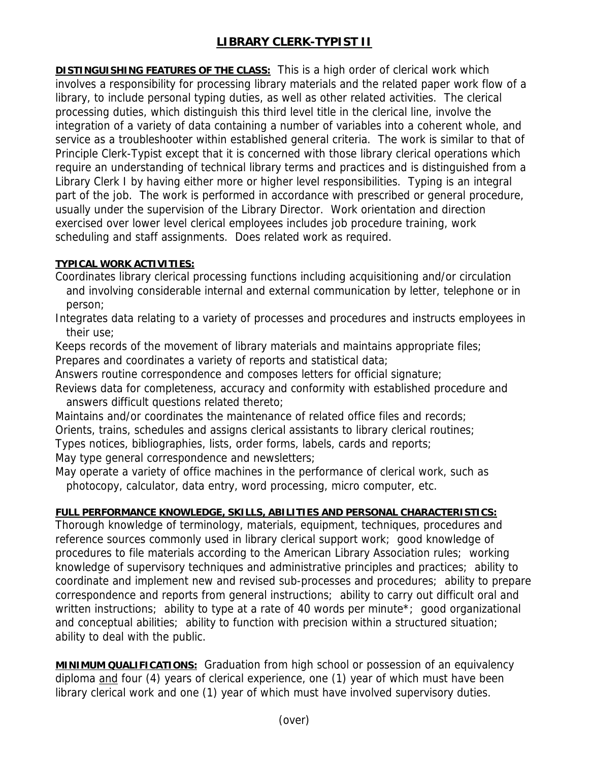## **LIBRARY CLERK-TYPIST II**

**DISTINGUISHING FEATURES OF THE CLASS:** This is a high order of clerical work which involves a responsibility for processing library materials and the related paper work flow of a library, to include personal typing duties, as well as other related activities. The clerical processing duties, which distinguish this third level title in the clerical line, involve the integration of a variety of data containing a number of variables into a coherent whole, and service as a troubleshooter within established general criteria. The work is similar to that of Principle Clerk-Typist except that it is concerned with those library clerical operations which require an understanding of technical library terms and practices and is distinguished from a Library Clerk I by having either more or higher level responsibilities. Typing is an integral part of the job. The work is performed in accordance with prescribed or general procedure, usually under the supervision of the Library Director. Work orientation and direction exercised over lower level clerical employees includes job procedure training, work scheduling and staff assignments. Does related work as required.

## **TYPICAL WORK ACTIVITIES:**

Coordinates library clerical processing functions including acquisitioning and/or circulation and involving considerable internal and external communication by letter, telephone or in person;

Integrates data relating to a variety of processes and procedures and instructs employees in their use;

Keeps records of the movement of library materials and maintains appropriate files; Prepares and coordinates a variety of reports and statistical data;

Answers routine correspondence and composes letters for official signature;

Reviews data for completeness, accuracy and conformity with established procedure and answers difficult questions related thereto;

Maintains and/or coordinates the maintenance of related office files and records;

Orients, trains, schedules and assigns clerical assistants to library clerical routines;

Types notices, bibliographies, lists, order forms, labels, cards and reports;

May type general correspondence and newsletters;

May operate a variety of office machines in the performance of clerical work, such as photocopy, calculator, data entry, word processing, micro computer, etc.

## **FULL PERFORMANCE KNOWLEDGE, SKILLS, ABILITIES AND PERSONAL CHARACTERISTICS:**

Thorough knowledge of terminology, materials, equipment, techniques, procedures and reference sources commonly used in library clerical support work; good knowledge of procedures to file materials according to the American Library Association rules; working knowledge of supervisory techniques and administrative principles and practices; ability to coordinate and implement new and revised sub-processes and procedures; ability to prepare correspondence and reports from general instructions; ability to carry out difficult oral and written instructions; ability to type at a rate of 40 words per minute\*; good organizational and conceptual abilities; ability to function with precision within a structured situation; ability to deal with the public.

**MINIMUM QUALIFICATIONS:** Graduation from high school or possession of an equivalency diploma and four (4) years of clerical experience, one (1) year of which must have been library clerical work and one (1) year of which must have involved supervisory duties.